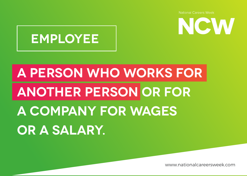

#### **EMPLOYEE**

## **A PERSON WHO WORKS FOR ANOTHER PERSON OR FOR A COMPANY FOR WAGES OR A SALARY.**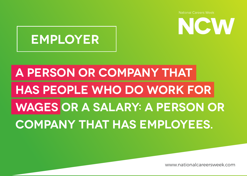NCW



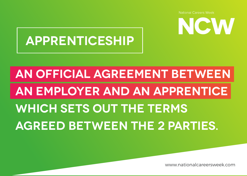NCW



## **AN OFFICIAL AGREEMENT BETWEEN AN EMPLOYER AND AN APPRENTICE WHICH SETS OUT THE TERMS AGREED BETWEEN THE 2 PARTIES.**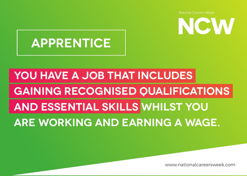

#### **APPRENTICE**

### **YOU HAVE A JOB THAT INCLUDES GAINING RECOGNISED QUALIFICATIONS AND ESSENTIAL SKILLS WHILST YOU ARE WORKING AND EARNING A WAGE.**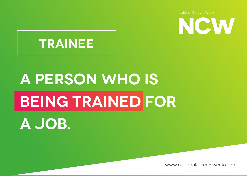

#### **TRAINEE**

# **A PERSON WHO IS BEING TRAINED FOR**

**A JOB.**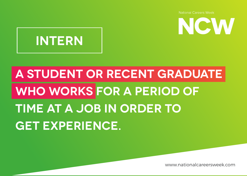NCW



## **A STUDENT OR RECENT GRADUATE WHO WORKS FOR A PERIOD OF TIME AT A JOB IN ORDER TO GET EXPERIENCE.**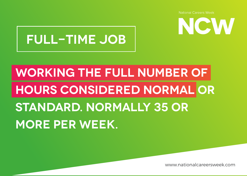

#### **FULL-TIME JOB**

## **WORKING THE FULL NUMBER OF HOURS CONSIDERED NORMAL OR STANDARD. NORMALLY 35 OR MORE PER WEEK.**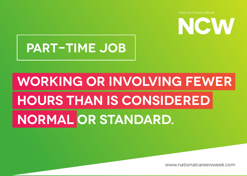

#### **PART-TIME JOB**

## **WORKING OR INVOLVING FEWER HOURS THAN IS CONSIDERED NORMAL OR STANDARD.**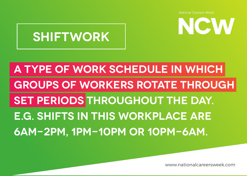NCW

#### **SHIFTWORK**

### **A TYPE OF WORK SCHEDULE IN WHICH GROUPS OF WORKERS ROTATE THROUGH SET PERIODS THROUGHOUT THE DAY. E.G. SHIFTS IN THIS WORKPLACE ARE 6AM-2PM, 1PM-10PM OR 10PM-6AM.**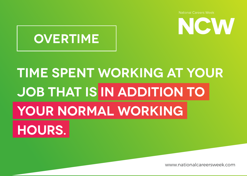

![](_page_9_Picture_2.jpeg)

## **TIME SPENT WORKING AT YOUR JOB THAT IS IN ADDITION TO YOUR NORMAL WORKING HOURS.**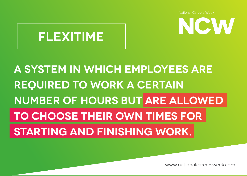![](_page_10_Picture_1.jpeg)

![](_page_10_Picture_2.jpeg)

#### **A SYSTEM IN WHICH EMPLOYEES ARE REQUIRED TO WORK A CERTAIN NUMBER OF HOURS BUT ARE ALLOWED TO CHOOSE THEIR OWN TIMES FOR STARTING AND FINISHING WORK.**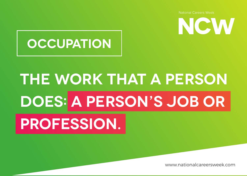![](_page_11_Picture_1.jpeg)

#### **OCCUPATION**

## **THE WORK THAT A PERSON DOES: A PERSON'S JOB OR PROFESSION.**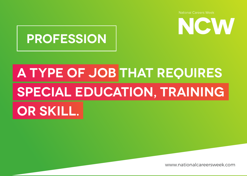NCW

![](_page_12_Picture_1.jpeg)

## **A TYPE OF JOB THAT REQUIRES SPECIAL EDUCATION, TRAINING OR SKILL.**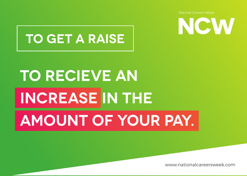![](_page_13_Picture_1.jpeg)

#### **TO GET A RAISE**

## **TO RECIEVE AN INCREASE IN THE AMOUNT OF YOUR PAY.**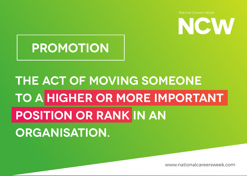![](_page_14_Picture_1.jpeg)

#### **PROMOTION**

### **THE ACT OF MOVING SOMEONE TO A HIGHER OR MORE IMPORTANT POSITION OR RANK IN AN ORGANISATION.**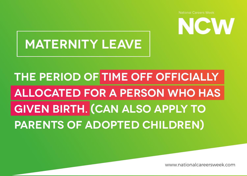![](_page_15_Picture_0.jpeg)

#### **MATERNITY LEAVE**

### **THE PERIOD OF TIME OFF OFFICIALLY ALLOCATED FOR A PERSON WHO HAS GIVEN BIRTH. (CAN ALSO APPLY TO PARENTS OF ADOPTED CHILDREN)**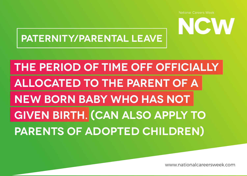![](_page_16_Picture_1.jpeg)

#### **PATERNITY/PARENTAL LEAVE**

### **THE PERIOD OF TIME OFF OFFICIALLY ALLOCATED TO THE PARENT OF A NEW BORN BABY WHO HAS NOT GIVEN BIRTH. (CAN ALSO APPLY TO PARENTS OF ADOPTED CHILDREN)**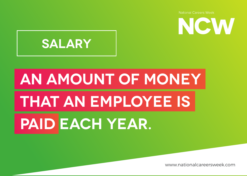![](_page_17_Picture_1.jpeg)

![](_page_17_Picture_2.jpeg)

# **AN AMOUNT OF MONEY THAT AN EMPLOYEE IS PAID EACH YEAR.**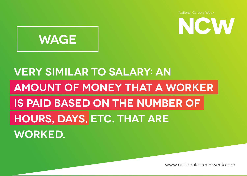![](_page_18_Picture_1.jpeg)

![](_page_18_Picture_2.jpeg)

#### **VERY SIMILAR TO SALARY: AN AMOUNT OF MONEY THAT A WORKER IS PAID BASED ON THE NUMBER OF HOURS, DAYS, ETC. THAT ARE WORKED.**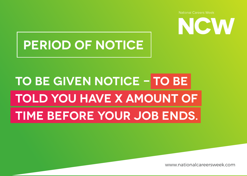### **PERIOD OF NOTICE**

## **TO BE GIVEN NOTICE - TO BE TOLD YOU HAVE X AMOUNT OF TIME BEFORE YOUR JOB ENDS.**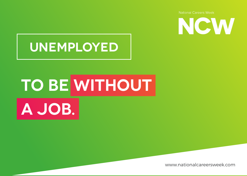![](_page_20_Picture_1.jpeg)

#### **UNEMPLOYED**

# **TO BE WITHOUT A JOB.**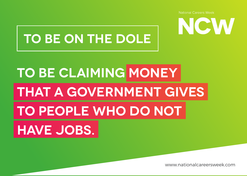![](_page_21_Picture_1.jpeg)

#### **TO BE ON THE DOLE**

## **TO BE CLAIMING MONEY THAT A GOVERNMENT GIVES TO PEOPLE WHO DO NOT HAVE JOBS.**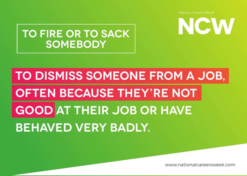NCW

![](_page_22_Picture_1.jpeg)

## **TO DISMISS SOMEONE FROM A JOB, OFTEN BECAUSE THEY'RE NOT GOOD AT THEIR JOB OR HAVE BEHAVED VERY BADLY.**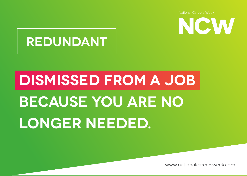![](_page_23_Picture_1.jpeg)

#### **REDUNDANT**

# **DISMISSED FROM A JOB BECAUSE YOU ARE NO LONGER NEEDED.**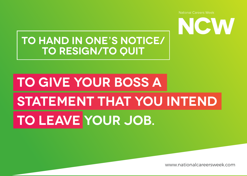NCW

**National Careers Week** 

#### **TO HAND IN ONE'S NOTICE/ TO RESIGN/TO QUIT**

## **TO GIVE YOUR BOSS A STATEMENT THAT YOU INTEND TO LEAVE YOUR JOB.**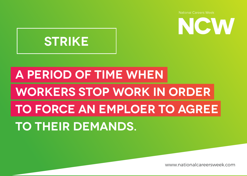![](_page_25_Picture_1.jpeg)

![](_page_25_Picture_2.jpeg)

## **A PERIOD OF TIME WHEN WORKERS STOP WORK IN ORDER TO FORCE AN EMPLOER TO AGREE TO THEIR DEMANDS.**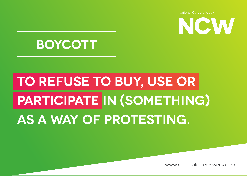![](_page_26_Picture_0.jpeg)

#### **BOYCOTT**

## **TO REFUSE TO BUY, USE OR PARTICIPATE IN (SOMETHING) AS A WAY OF PROTESTING.**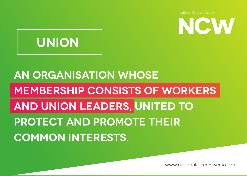www.nationalcareersweek.com

### **MEMBERSHIP CONSISTS OF WORKERS AND UNION LEADERS, UNITED TO PROTECT AND PROMOTE THEIR COMMON INTERESTS.**

## **AN ORGANISATION WHOSE**

![](_page_27_Picture_3.jpeg)

![](_page_27_Picture_4.jpeg)

**National Careers Week**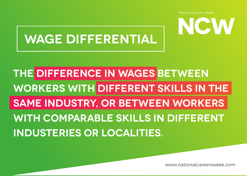![](_page_28_Picture_1.jpeg)

#### **WAGE DIFFERENTIAL**

**THE DIFFERENCE IN WAGES BETWEEN WORKERS WITH DIFFERENT SKILLS IN THE SAME INDUSTRY, OR BETWEEN WORKERS WITH COMPARABLE SKILLS IN DIFFERENT INDUSTERIES OR LOCALITIES.**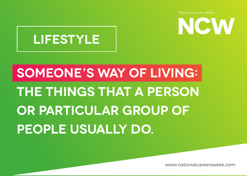![](_page_29_Picture_1.jpeg)

![](_page_29_Picture_2.jpeg)

## **SOMEONE'S WAY OF LIVING: THE THINGS THAT A PERSON OR PARTICULAR GROUP OF PEOPLE USUALLY DO.**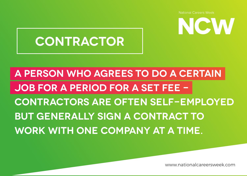![](_page_30_Picture_1.jpeg)

#### **CONTRACTOR**

**A PERSON WHO AGREES TO DO A CERTAIN JOB FOR A PERIOD FOR A SET FEE - CONTRACTORS ARE OFTEN SELF-EMPLOYED BUT GENERALLY SIGN A CONTRACT TO WORK WITH ONE COMPANY AT A TIME.**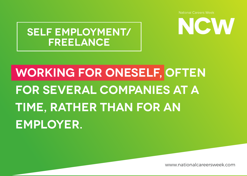NCW

**SELF EMPLOYMENT/ FREELANCE**

## **WORKING FOR ONESELF, OFTEN FOR SEVERAL COMPANIES AT A TIME, RATHER THAN FOR AN EMPLOYER.**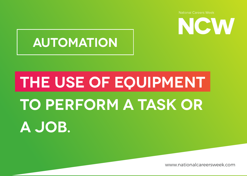![](_page_32_Picture_1.jpeg)

#### **AUTOMATION**

# **THE USE OF EQUIPMENT TO PERFORM A TASK OR A JOB.**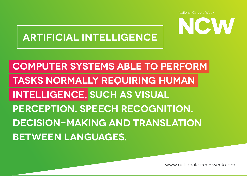![](_page_33_Picture_1.jpeg)

#### **ARTIFICIAL INTELLIGENCE**

**COMPUTER SYSTEMS ABLE TO PERFORM TASKS NORMALLY REQUIRING HUMAN INTELLIGENCE, SUCH AS VISUAL PERCEPTION, SPEECH RECOGNITION, DECISION-MAKING AND TRANSLATION BETWEEN LANGUAGES.**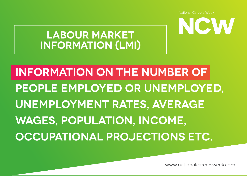www.nationalcareersweek.com

## **PEOPLE EMPLOYED OR UNEMPLOYED, UNEMPLOYMENT RATES, AVERAGE WAGES, POPULATION, INCOME, OCCUPATIONAL PROJECTIONS ETC.**

**INFORMATION ON THE NUMBER OF** 

**LABOUR MARKET INFORMATION (LMI)**

![](_page_34_Picture_3.jpeg)

**National Careers Week**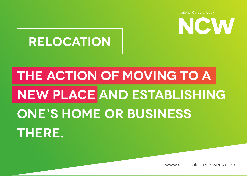![](_page_35_Picture_1.jpeg)

#### **RELOCATION**

## **THE ACTION OF MOVING TO A NEW PLACE AND ESTABLISHING ONE'S HOME OR BUSINESS THERE.**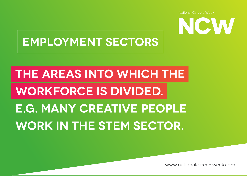NCW

![](_page_36_Picture_1.jpeg)

## **THE AREAS INTO WHICH THE WORKFORCE IS DIVIDED. E.G. MANY CREATIVE PEOPLE WORK IN THE STEM SECTOR.**